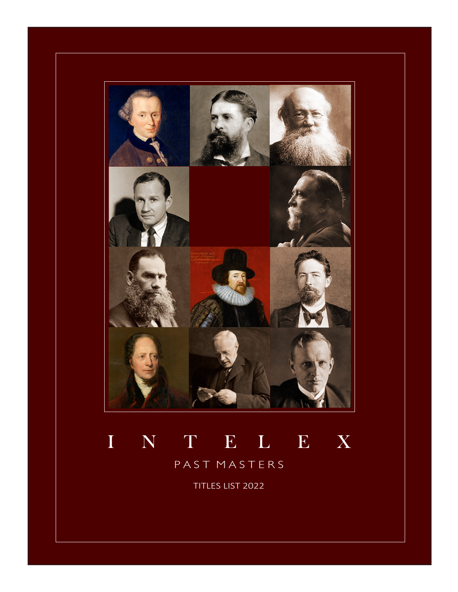

# I N T E L E X

PAST MASTERS

TITLES LIST 2022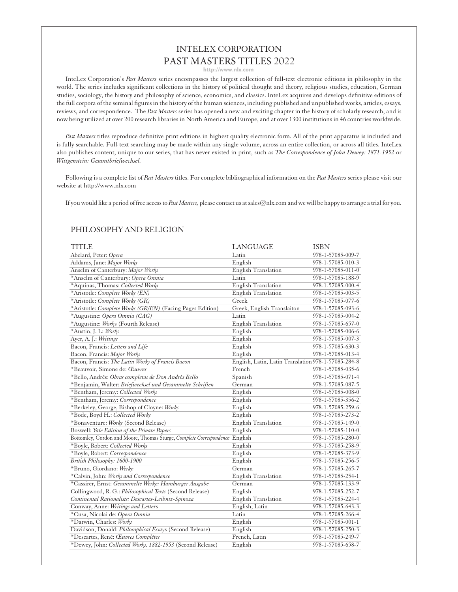## INTELEX CORPORATION PAST MASTERS TITLES 2022

**http://www.nlx.com**

InteLex Corporation's *Past Masters* series encompasses the largest collection of full-text electronic editions in philosophy in the world. The series includes significant collections in the history of political thought and theory, religious studies, education, German studies, sociology, the history and philosophy of science, economics, and classics. InteLex acquires and develops definitive editions of the full corpora of the seminal figures in the history of the human sciences, including published and unpublished works, articles, essays, reviews, and correspondence. The *Past Masters* series has opened a new and exciting chapter in the history of scholarly research, and is now being utilized at over 200 research libraries in North America and Europe, and at over 1300 institutions in 46 countries worldwide.

*Past Masters* titles reproduce definitive print editions in highest quality electronic form. All of the print apparatus is included and is fully searchable. Full-text searching may be made within any single volume, across an entire collection, or across all titles. InteLex also publishes content, unique to our series, that has never existed in print, such as *The Correspondence of John Dewey: 1871-1952* or *Wittgenstein: Gesamtbriefwechsel.*

Following is a complete list of *Past Masters* titles. For complete bibliographical information on the *Past Masters* series please visit our website at http://www.nlx.com

If you would like a period of free access to *Past Masters,* please contact us at sales@nlx.com and we will be happy to arrange a trial for you.

#### PHILOSOPHY AND RELIGION

| <b>TITLE</b>                                                                | <b>LANGUAGE</b>                                     | <b>ISBN</b>       |
|-----------------------------------------------------------------------------|-----------------------------------------------------|-------------------|
| Abelard, Peter: Opera                                                       | Latin                                               | 978-1-57085-009-7 |
| Addams, Jane: Major Works                                                   | English                                             | 978-1-57085-010-3 |
| Anselm of Canterbury: Major Works                                           | <b>English Translation</b>                          | 978-1-57085-011-0 |
| *Anselm of Canterbury: Opera Omnia                                          | Latin                                               | 978-1-57085-188-9 |
| *Aquinas, Thomas: Collected Works                                           | <b>English Translation</b>                          | 978-1-57085-000-4 |
| *Aristotle: Complete Works (EN)                                             | <b>English Translation</b>                          | 978-1-57085-003-5 |
| *Aristotle: Complete Works (GR)                                             | Greek                                               | 978-1-57085-077-6 |
| *Aristotle: Complete Works (GR/EN) (Facing Pages Edition)                   | Greek, English Translaiton                          | 978-1-57085-093-6 |
| *Augustine: Opera Omnia (CAG)                                               | Latin                                               | 978-1-57085-004-2 |
| *Augustine: Works (Fourth Release)                                          | English Translation                                 | 978-1-57085-657-0 |
| *Austin, J. L: Works                                                        | English                                             | 978-1-57085-006-6 |
| Ayer, A. J.: Writings                                                       | English                                             | 978-1-57085-007-3 |
| Bacon, Francis: Letters and Life                                            | English                                             | 978-1-57085-630-3 |
| Bacon, Francis: Major Works                                                 | English                                             | 978-1-57085-013-4 |
| Bacon, Francis: The Latin Works of Francis Bacon                            | English, Latin, Latin Translation 978-1-57085-284-8 |                   |
| *Beauvoir, Simone de: Œuvres                                                | French                                              | 978-1-57085-035-6 |
| *Bello, Andrés: Obras completas de Don Andrés Bello                         | Spanish                                             | 978-1-57085-071-4 |
| *Benjamin, Walter: Briefwechsel und Gesammelte Schriften                    | German                                              | 978-1-57085-087-5 |
| *Bentham, Jeremy: Collected Works                                           | English                                             | 978-1-57085-008-0 |
| *Bentham, Jeremy: Correspondence                                            | English                                             | 978-1-57085-356-2 |
| *Berkeley, George, Bishop of Cloyne: Works                                  | English                                             | 978-1-57085-259-6 |
| *Bode, Boyd H.: Collected Works                                             | English                                             | 978-1-57085-273-2 |
| *Bonaventure: Works (Second Release)                                        | English Translation                                 | 978-1-57085-149-0 |
| Boswell: Yale Edition of the Private Papers                                 | English                                             | 978-1-57085-110-0 |
| Bottomley, Gordon and Moore, Thomas Sturge, Complete Correspondence English |                                                     | 978-1-57085-280-0 |
| *Boyle, Robert: Collected Works                                             | English                                             | 978-1-57085-258-9 |
| *Boyle, Robert: Correspondence                                              | English                                             | 978-1-57085-373-9 |
| British Philosophy: 1600-1900                                               | English                                             | 978-1-57085-256-5 |
| *Bruno, Giordano: Werke                                                     | German                                              | 978-1-57085-265-7 |
| *Calvin, John: Works and Correspondence                                     | <b>English Translation</b>                          | 978-1-57085-254-1 |
| *Cassirer, Ernst: Gesammelte Werke: Hamburger Ausgabe                       | German                                              | 978-1-57085-133-9 |
| Collingwood, R. G.: Philosophical Texts (Second Release)                    | English                                             | 978-1-57085-252-7 |
| Continental Rationalists: Descartes-Leibniz-Spinoza                         | <b>English Translation</b>                          | 978-1-57085-224-4 |
| Conway, Anne: Writings and Letters                                          | English, Latin                                      | 978-1-57085-643-3 |
| *Cusa, Nicolai de: Opera Omnia                                              | Latin                                               | 978-1-57085-266-4 |
| *Darwin, Charles: Works                                                     | English                                             | 978-1-57085-001-1 |
| Davidson, Donald: Philosophical Essays (Second Release)                     | English                                             | 978-1-57085-250-3 |
| *Descartes, René: Œuvres Complètes                                          | French, Latin                                       | 978-1-57085-249-7 |
| *Dewey, John: Collected Works, 1882-1953 (Second Release)                   | English                                             | 978-1-57085-658-7 |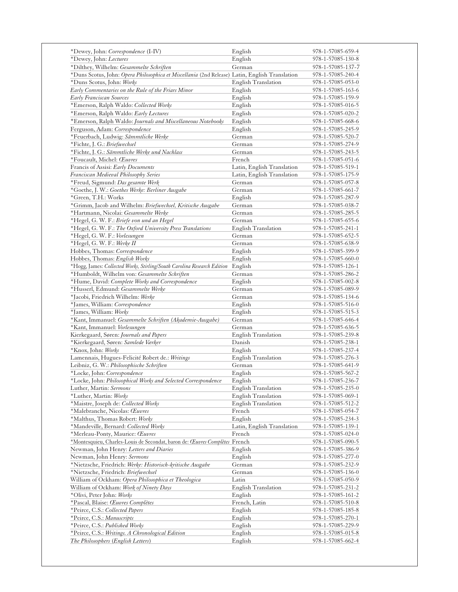| *Dewey, John: Correspondence (I-IV)                                                                              | English                    | 978-1-57085-659-4                      |
|------------------------------------------------------------------------------------------------------------------|----------------------------|----------------------------------------|
| *Dewey, John: Lectures                                                                                           | English                    | 978-1-57085-130-8                      |
| *Dilthey, Wilhelm: Gesammelte Schriften                                                                          | German                     | 978-1-57085-137-7                      |
| *Duns Scotus, John: Opera Philosophica et Miscellania (2nd Release) Latin, English Translation                   |                            | 978-1-57085-240-4                      |
| *Duns Scotus, John: Works                                                                                        | English Translation        | 978-1-57085-053-0                      |
| Early Commentaries on the Rule of the Friars Minor                                                               | English                    | 978-1-57085-163-6                      |
|                                                                                                                  |                            |                                        |
| Early Franciscan Sources                                                                                         | English                    | 978-1-57085-159-9                      |
| *Emerson, Ralph Waldo: Collected Works                                                                           | English                    | 978-1-57085-016-5                      |
| *Emerson, Ralph Waldo: Early Lectures                                                                            | English                    | 978-1-57085-020-2                      |
| *Emerson, Ralph Waldo: Journals and Miscellaneous Notebooks                                                      | English                    | 978-1-57085-668-6                      |
| Ferguson, Adam: Correspondence                                                                                   | English                    | 978-1-57085-245-9                      |
| *Feuerbach, Ludwig: Sämmtliche Werke                                                                             | German                     | 978-1-57085-520-7                      |
| *Fichte, J. G.: Briefwechsel                                                                                     | German                     | 978-1-57085-274-9                      |
| *Fichte, J. G.: Sämmtliche Werke und Nachlass                                                                    | German                     | 978-1-57085-243-5                      |
| *Foucault, Michel: Œuvres                                                                                        | French                     | 978-1-57085-051-6                      |
| Francis of Assisi: Early Documents                                                                               | Latin, English Translation | 978-1-57085-519-1                      |
| Franciscan Medieval Philosophy Series                                                                            | Latin, English Translation | 978-1-57085-175-9                      |
| *Freud, Sigmund: Das gesamte Werk                                                                                | German                     | 978-1-57085-057-8                      |
|                                                                                                                  |                            |                                        |
| *Goethe, J. W.: Goethes Werke: Berliner Ausgabe                                                                  | German                     | 978-1-57085-661-7                      |
| *Green, T.H.: Works                                                                                              | English                    | 978-1-57085-287-9                      |
| *Grimm, Jacob and Wilhelm: Briefwechsel, Kritische Ausgabe                                                       | German                     | 978-1-57085-038-7                      |
| *Hartmann, Nicolai: Gesammelte Werke                                                                             | German                     | 978-1-57085-285-5                      |
| *Hegel, G. W. F.: Briefe von und an Hegel                                                                        | German                     | 978-1-57085-655-6                      |
| *Hegel, G. W. F.: The Oxford University Press Translations                                                       | English Translation        | 978-1-57085-241-1                      |
| *Hegel, G. W. F.: Vorlesungen                                                                                    | German                     | 978-1-57085-652-5                      |
| *Hegel, G. W. F.: Werke II                                                                                       | German                     | 978-1-57085-638-9                      |
| Hobbes, Thomas: Correspondence                                                                                   | English                    | 978-1-57085-399-9                      |
| Hobbes, Thomas: English Works                                                                                    | English                    | 978-1-57085-660-0                      |
| *Hogg, James: Collected Works, Stirling/South Carolina Research Edition English                                  |                            | 978-1-57085-126-1                      |
|                                                                                                                  | German                     | 978-1-57085-286-2                      |
| *Humboldt, Wilhelm von: Gesammelte Schriften                                                                     |                            |                                        |
| *Hume, David: Complete Works and Correspondence                                                                  | English                    | 978-1-57085-002-8                      |
| *Husserl, Edmund: Gesammelte Werke                                                                               | German                     | 978-1-57085-089-9                      |
| *Jacobi, Friedrich Wilhelm: Werke                                                                                | German                     | 978-1-57085-134-6                      |
| *James, William: Correspondence                                                                                  | English                    | 978-1-57085-516-0                      |
| *James, William: Works                                                                                           | English                    | 978-1-57085-515-3                      |
| *Kant, Immanuel: Gesammelte Schriften (Akademie-Ausgabe)                                                         | German                     | 978-1-57085-646-4                      |
| *Kant, Immanuel: Vorlesungen                                                                                     | German                     | 978-1-57085-636-5                      |
| Kierkegaard, Søren: Journals and Papers                                                                          | English Translation        | 978-1-57085-239-8                      |
| *Kierkegaard, Søren: Samlede Værker                                                                              | Danish                     | 978-1-57085-238-1                      |
| *Knox, John: Works                                                                                               | English                    | 978-1-57085-237-4                      |
| Lamennais, Hugues-Felicité Robert de.: Writings                                                                  | English Translation        | 978-1-57085-276-3                      |
| Leibniz, G. W.: Philosophische Schriften                                                                         | German                     | 978-1-57085-641-9                      |
|                                                                                                                  |                            |                                        |
| *Locke, John: Correspondence                                                                                     | English                    | 978-1-57085-567-2                      |
| *Locke, John: Philosophical Works and Selected Correspondence                                                    | English                    | 978-1-57085-236-7                      |
| Luther, Martin: Sermons                                                                                          | English Translation        | 978-1-57085-235-0                      |
| *Luther, Martin: Works                                                                                           | <b>English Translation</b> | 978-1-57085-069-1                      |
| *Maistre, Joseph de: Collected Works                                                                             | English Translation        | 978-1-57085-512-2                      |
| *Malebranche, Nicolas: Œuvres                                                                                    | French                     | 978-1-57085-054-7                      |
| *Malthus, Thomas Robert: Works                                                                                   | English                    | 978-1-57085-234-3                      |
| *Mandeville, Bernard: Collected Works                                                                            | Latin, English Translation | 978-1-57085-139-1                      |
| *Merleau-Ponty, Maurice: Œuvres                                                                                  | French                     |                                        |
|                                                                                                                  |                            | 978-1-57085-024-0                      |
|                                                                                                                  |                            |                                        |
| *Montesquieu, Charles-Louis de Secondat, baron de: Œuvres Complètes French                                       |                            | 978-1-57085-090-5                      |
|                                                                                                                  | English                    | 978-1-57085-386-9                      |
| Newman, John Henry: Letters and Diaries                                                                          | English                    | 978-1-57085-277-0                      |
| *Nietzsche, Friedrich: Werke: Historisch-kritische Ausgabe                                                       | German                     | 978-1-57085-232-9                      |
| *Nietzsche, Friedrich: Briefwechsel                                                                              | German                     | 978-1-57085-136-0                      |
|                                                                                                                  | Latin                      | 978-1-57085-050-9                      |
| William of Ockham: Work of Ninety Days                                                                           | English Translation        | 978-1-57085-231-2                      |
| *Olivi, Peter John: Works                                                                                        | English                    | 978-1-57085-161-2                      |
| *Pascal, Blaise: Œuvres Complètes                                                                                | French, Latin              | 978-1-57085-510-8                      |
| *Peirce, C.S.: Collected Papers                                                                                  | English                    | 978-1-57085-185-8                      |
|                                                                                                                  | English                    | 978-1-57085-270-1                      |
| Newman, John Henry: Sermons<br>William of Ockham: Opera Philosophica et Theologica<br>*Peirce, C.S.: Manuscripts |                            |                                        |
| *Peirce, C.S.: Published Works<br>*Peirce, C.S.: Writings. A Chronological Edition                               | English<br>English         | 978-1-57085-229-9<br>978-1-57085-015-8 |

 $\overline{a}$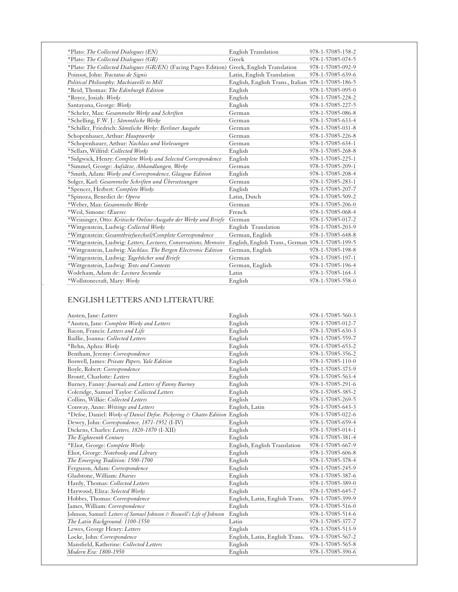| *Plato: The Collected Dialogues (EN)                                                      | English Translation                                | 978-1-57085-158-2 |
|-------------------------------------------------------------------------------------------|----------------------------------------------------|-------------------|
| *Plato: The Collected Dialogues (GR)                                                      | Greek                                              | 978-1-57085-074-5 |
| *Plato: The Collected Dialogues (GR/EN) (Facing Pages Edition) Greek, English Translation |                                                    | 978-1-57085-092-9 |
| Poinsot, John: Tractatus de Signis                                                        | Latin, English Translation                         | 978-1-57085-639-6 |
| Political Philosophy: Machiavelli to Mill                                                 | English, English Trans., Italian 978-1-57085-186-5 |                   |
| *Reid, Thomas: The Edinburgh Edition                                                      | English                                            | 978-1-57085-095-0 |
| *Royce, Josiah: Works                                                                     | English                                            | 978-1-57085-228-2 |
| Santayana, George: Works                                                                  | English                                            | 978-1-57085-227-5 |
| *Scheler, Max: Gesammelte Werke und Schriften                                             | German                                             | 978-1-57085-086-8 |
| *Schelling, F.W. J.: Sämmtliche Werke                                                     | German                                             | 978-1-57085-633-4 |
| *Schiller, Friedrich: Sämtliche Werke: Berliner Ausgabe                                   | German                                             | 978-1-57085-031-8 |
| Schopenhauer, Arthur: Hauptwerke                                                          | German                                             | 978-1-57085-226-8 |
| *Schopenhauer, Arthur: Nachlass und Vorlesungen                                           | German                                             | 978-1-57085-634-1 |
| *Sellars, Wilfrid: Collected Works                                                        | English                                            | 978-1-57085-268-8 |
| *Sidgwick, Henry: Complete Works and Selected Correspondence                              | English                                            | 978-1-57085-225-1 |
| *Simmel, George: Aufsätze, Abhandlungen, Werke                                            | German                                             | 978-1-57085-209-1 |
| *Smith, Adam: Works and Correspondence, Glasgow Edition                                   | English                                            | 978-1-57085-208-4 |
| Solger, Karl: Gesammelte Schriften und Übersetzungen                                      | German                                             | 978-1-57085-283-1 |
| *Spencer, Herbert: Complete Works                                                         | English                                            | 978-1-57085-207-7 |
| *Spinoza, Benedict de: Opera                                                              | Latin, Dutch                                       | 978-1-57085-509-2 |
| *Weber, Max: Gesammelte Werke                                                             | German                                             | 978-1-57085-206-0 |
| *Weil, Simone: Œuvres                                                                     | French                                             | 978-1-57085-068-4 |
| *Weininger, Otto: Kritische Online-Ausgabe der Werke und Briefe                           | German                                             | 978-1-57085-017-2 |
| *Wittgenstein, Ludwig: Collected Works                                                    | English Translation                                | 978-1-57085-203-9 |
| *Wittgenstein: Gesamtbriefwechsel/Complete Correspondence                                 | German, English                                    | 978-1-57085-648-8 |
| *Wittgenstein, Ludwig: Letters, Lectures, Conversations, Memoirs                          | English, English Trans., German 978-1-57085-199-5  |                   |
| *Wittgenstein, Ludwig: Nachlass. The Bergen Electronic Edition                            | German, English                                    | 978-1-57085-198-8 |
| *Wittgenstein, Ludwig: Tagebücher und Briefe                                              | German                                             | 978-1-57085-197-1 |
| *Wittgenstein, Ludwig: Texts and Contexts                                                 | German, English                                    | 978-1-57085-196-4 |
| Wodeham, Adam de: Lectura Secunda                                                         | Latin                                              | 978-1-57085-164-3 |
| *Wollstonecraft, Mary: Works                                                              | English                                            | 978-1-57085-558-0 |

## ENGLISH LETTERS AND LITERATURE

| Austen, Jane: Letters                                                     | English                        | 978-1-57085-560-3 |
|---------------------------------------------------------------------------|--------------------------------|-------------------|
| *Austen, Jane: Complete Works and Letters                                 | English                        | 978-1-57085-012-7 |
| Bacon, Francis: Letters and Life                                          | English                        | 978-1-57085-630-3 |
| Baillie, Joanna: Collected Letters                                        | English                        | 978-1-57085-559-7 |
| *Behn, Aphra: Works                                                       | English                        | 978-1-57085-653-2 |
| Bentham, Jeremy: Correspondence                                           | English                        | 978-1-57085-356-2 |
| Boswell, James: Private Papers, Yale Edition                              | English                        | 978-1-57085-110-0 |
| Boyle, Robert: Correspondence                                             | English                        | 978-1-57085-373-9 |
| Brontë, Charlotte: Letters                                                | English                        | 978-1-57085-563-4 |
| Burney, Fanny: Journals and Letters of Fanny Burney                       | English                        | 978-1-57085-291-6 |
| Coleridge, Samuel Taylor: Collected Letters                               | English                        | 978-1-57085-385-2 |
| Collins, Wilkie: Collected Letters                                        | English                        | 978-1-57085-269-5 |
| Conway, Anne: Writings and Letters                                        | English, Latin                 | 978-1-57085-643-3 |
| *Defoe, Daniel: Works of Daniel Defoe. Pickering & Chatto Edition English |                                | 978-1-57085-022-6 |
| Dewey, John: Correspondence, 1871-1952 (I-IV)                             | English                        | 978-1-57085-659-4 |
| Dickens, Charles: Letters, 1820-1870 (I-XII)                              | English                        | 978-1-57085-014-1 |
| The Eighteenth Century                                                    | English                        | 978-1-57085-381-4 |
| *Eliot, George: Complete Works                                            | English, English Translation   | 978-1-57085-667-9 |
| Eliot, George: Notebooks and Library                                      | English                        | 978-1-57085-606-8 |
| The Emerging Tradition: 1500-1700                                         | English                        | 978-1-57085-378-4 |
| Ferguson, Adam: Correspondence                                            | English                        | 978-1-57085-245-9 |
| Gladstone, William: Diaries                                               | English                        | 978-1-57085-387-6 |
| Hardy, Thomas: Collected Letters                                          | English                        | 978-1-57085-389-0 |
| Haywood, Eliza: Selected Works                                            | English                        | 978-1-57085-645-7 |
| Hobbes, Thomas: Correspondence                                            | English, Latin, English Trans. | 978-1-57085-399-9 |
| James, William: Correspondence                                            | English                        | 978-1-57085-516-0 |
| Johnson, Samuel: Letters of Samuel Johnson & Boswell's Life of Johnson    | English                        | 978-1-57085-514-6 |
| The Latin Background: 1100-1550                                           | Latin                          | 978-1-57085-377-7 |
| Lewes, George Henry: Letters                                              | English                        | 978-1-57085-513-9 |
| Locke, John: Correspondence                                               | English, Latin, English Trans. | 978-1-57085-567-2 |
| Mansfield, Katherine: Collected Letters                                   | English                        | 978-1-57085-565-8 |
| Modern Era: 1800-1950                                                     | English                        | 978-1-57085-390-6 |
|                                                                           |                                |                   |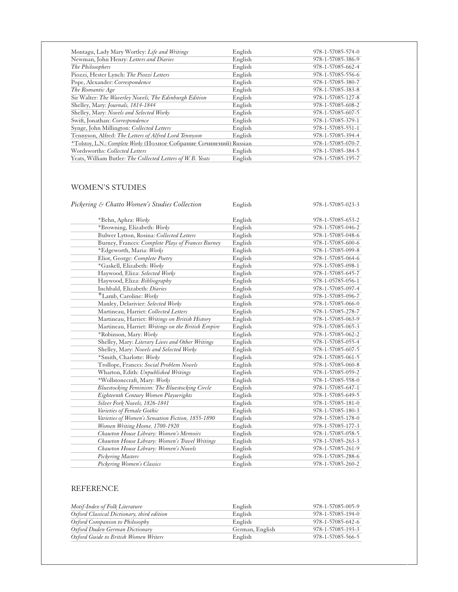| Montagu, Lady Mary Wortley: Life and Writings                      | English | 978-1-57085-574-0 |
|--------------------------------------------------------------------|---------|-------------------|
| Newman, John Henry: Letters and Diaries                            | English | 978-1-57085-386-9 |
| The Philosophers                                                   | English | 978-1-57085-662-4 |
| Piozzi, Hester Lynch: The Piozzi Letters                           | English | 978-1-57085-556-6 |
| Pope, Alexander: Correspondence                                    | English | 978-1-57085-380-7 |
| The Romantic Age                                                   | English | 978-1-57085-383-8 |
| Sir Walter: The Waverley Novels, The Edinburgh Edition             | English | 978-1-57085-127-8 |
| Shelley, Mary: Journals, 1814-1844                                 | English | 978-1-57085-608-2 |
| Shelley, Mary: Novels and Selected Works                           | English | 978-1-57085-607-5 |
| Swift, Jonathan: Correspondence                                    | English | 978-1-57085-379-1 |
| Synge, John Millington: Collected Letters                          | English | 978-1-57085-551-1 |
| Tennyson, Alfred: The Letters of Alfred Lord Tennyson              | English | 978-1-57085-394-4 |
| *Tolstoy, L.N.: Complete Works (Полное Собрание Сочинений) Russian |         | 978-1-57085-070-7 |
| Wordsworths: Collected Letters                                     | English | 978-1-57085-384-5 |
| Yeats, William Butler: The Collected Letters of W. B. Yeats        | English | 978-1-57085-195-7 |
|                                                                    |         |                   |

## WOMEN'S STUDIES

| Pickering & Chatto Women's Studies Collection      | English | 978-1-57085-023-3 |
|----------------------------------------------------|---------|-------------------|
| *Behn, Aphra: Works                                | English | 978-1-57085-653-2 |
| *Browning, Elizabeth: Works                        | English | 978-1-57085-046-2 |
| Bulwer Lytton, Rosina: Collected Letters           | English | 978-1-57085-048-6 |
| Burney, Frances: Complete Plays of Frances Burney  | English | 978-1-57085-600-6 |
| *Edgeworth, Maria: Works                           | English | 978-1-57085-099-8 |
| Eliot, George: Complete Poetry                     | English | 978-1-57085-064-6 |
| *Gaskell, Elizabeth: Works                         | English | 978-1-57085-098-1 |
| Haywood, Eliza: Selected Works                     | English | 978-1-57085-645-7 |
| Haywood, Eliza: Bibliography                       | English | 978-1-05785-056-1 |
| Inchbald, Elizabeth: Diaries                       | English | 978-1-57085-097-4 |
| *Lamb, Caroline: Works                             | English | 978-1-57085-096-7 |
| Manley, Delarivier: Selected Works                 | English | 978-1-57085-066-0 |
| Martineau, Harriet: Collected Letters              | English | 978-1-57085-278-7 |
| Martineau, Harriet: Writings on British History    | English | 978-1-57085-063-9 |
| Martineau, Harriet: Writings on the British Empire | English | 978-1-57085-065-3 |
| *Robinson, Mary: Works                             | English | 978-1-57085-062-2 |
| Shelley, Mary: Literary Lives and Other Writings   | English | 978-1-57085-055-4 |
| Shelley, Mary: Novels and Selected Works           | English | 978-1-57085-607-5 |
| *Smith, Charlotte: Works                           | English | 978-1-57085-061-5 |
| Trollope, Frances: Social Problem Novels           | English | 978-1-57085-060-8 |
| Wharton, Edith: Unpublished Writings               | English | 978-1-57085-059-2 |
| *Wollstonecraft, Mary: Works                       | English | 978-1-57085-558-0 |
| Bluestocking Feminism: The Bluestocking Circle     | English | 978-1-57085-647-1 |
| Eighteenth Century Women Playwrights               | English | 978-1-57085-649-5 |
| Silver Fork Novels, 1826-1841                      | English | 978-1-57085-181-0 |
| Varieties of Female Gothic                         | English | 978-1-57085-180-3 |
| Varieties of Women's Sensation Fiction, 1855-1890  | English | 978-1-57085-178-0 |
| Women Writing Home. 1700-1920                      | English | 978-1-57085-177-3 |
| Chawton House Library: Women's Memoirs             | English | 978-1-57085-058-5 |
| Chawton House Library: Women's Travel Writings     | English | 978-1-57085-263-3 |
| Chawton House Library: Women's Novels              | English | 978-1-57085-261-9 |
| <b>Pickering Masters</b>                           | English | 978-1-57085-288-6 |
| Pickering Women's Classics                         | English | 978-1-57085-260-2 |

#### REFERENCE

l

| Motif-Index of Folk Literature             | English         | 978-1-57085-005-9 |
|--------------------------------------------|-----------------|-------------------|
| Oxford Classical Dictionary, third edition | English         | 978-1-57085-194-0 |
| Oxford Companion to Philosophy             | English         | 978-1-57085-642-6 |
| Oxford Duden German Dictionary             | German, English | 978-1-57085-193-3 |
| Oxford Guide to British Women Writers      | English         | 978-1-57085-566-5 |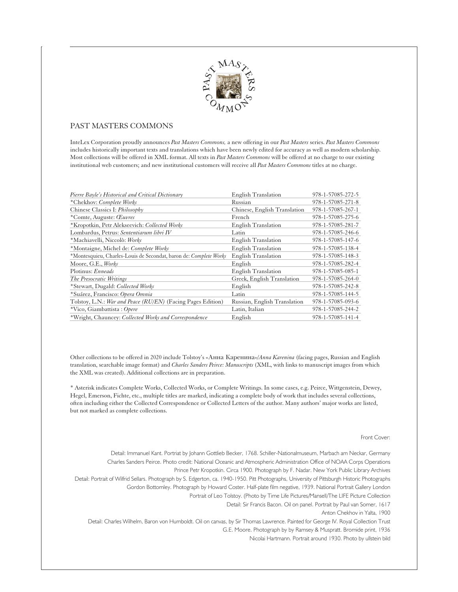

#### PAST MASTERS COMMONS

InteLex Corporation proudly announces *Past Masters Commons,* a new offering in our *Past Masters* series. *Past Masters Commons* includes historically important texts and translations which have been newly edited for accuracy as well as modern scholarship. Most collections will be offered in XML format. All texts in *Past Masters Commons* will be offered at no charge to our existing institutional web customers; and new institutional customers will receive all *Past Masters Commons* titles at no charge.

| Pierre Bayle's Historical and Critical Dictionary                 | English Translation          | 978-1-57085-272-5 |
|-------------------------------------------------------------------|------------------------------|-------------------|
| *Chekhov: Complete Works                                          | Russian                      | 978-1-57085-271-8 |
| Chinese Classics I: Philosophy                                    | Chinese, English Translation | 978-1-57085-267-1 |
| *Comte, Auguste: Œuvres                                           | French                       | 978-1-57085-275-6 |
| *Kropotkin, Petr Alekseevich: Collected Works                     | <b>English Translation</b>   | 978-1-57085-281-7 |
| Lombardus, Petrus: Sententiarum libri IV                          | Latin                        | 978-1-57085-246-6 |
| *Machiavelli, Niccolò: Works                                      | <b>English Translation</b>   | 978-1-57085-147-6 |
| *Montaigne, Michel de: Complete Works                             | <b>English Translation</b>   | 978-1-57085-138-4 |
| *Montesquieu, Charles-Louis de Secondat, baron de: Complete Works | <b>English Translation</b>   | 978-1-57085-148-3 |
| Moore, G.E., Works                                                | English                      | 978-1-57085-282-4 |
| Plotinus: Enneads                                                 | <b>English Translation</b>   | 978-1-57085-085-1 |
| The Presocratic Writings                                          | Greek, English Translation   | 978-1-57085-264-0 |
| *Stewart, Dugald: Collected Works                                 | English                      | 978-1-57085-242-8 |
| *Suárez, Francisco: Opera Omnia                                   | Latin                        | 978-1-57085-144-5 |
| Tolstoy, L.N.: War and Peace (RU/EN) (Facing Pages Edition)       | Russian, English Translation | 978-1-57085-093-6 |
| *Vico, Giambattista: Opere                                        | Latin, Italian               | 978-1-57085-244-2 |
| *Wright, Chauncey: Collected Works and Correspondence             | English                      | 978-1-57085-141-4 |

Other collections to be offered in 2020 include Tolstoy's «Анна Каренина»/*Anna Karenina* (facing pages, Russian and English translation, searchable image format) and *Charles Sanders Peirce: Manuscripts* (XML, with links to manuscript images from which the XML was created). Additional collections are in preparation.

\* Asterisk indicates Complete Works, Collected Works, or Complete Writings. In some cases, e.g. Peirce, Wittgenstein, Dewey, Hegel, Emerson, Fichte, etc., multiple titles are marked, indicating a complete body of work that includes several collections, often including either the Collected Correspondence or Collected Letters of the author. Many authors' major works are listed, but not marked as complete collections.

#### Front Cover:

Detail: Immanuel Kant. Portriat by Johann Gottlieb Becker, 1768. Schiller-Nationalmuseum, Marbach am Neckar, Germany Charles Sanders Peirce. Photo credit: National Oceanic and Atmospheric Administration Office of NOAA Corps Operations Prince Petr Kropotkin. Circa 1900. Photograph by F. Nadar. New York Public Library Archives Detail: Portrait of Wilfrid Sellars. Photograph by S. Edgerton, ca. 1940-1950. Pitt Photographs, University of Pittsburgh Historic Photographs Gordon Bottomley. Photograph by Howard Coster. Half-plate film negative, 1939. National Portrait Gallery London Portrait of Leo Tolstoy. (Photo by Time Life Pictures/Mansell/The LIFE Picture Collection Detail: Sir Francis Bacon. Oil on panel. Portrait by Paul van Somer, 1617 Anton Chekhov in Yalta, 1900 Detail: Charles Wilhelm, Baron von Humboldt. Oil on canvas, by Sir Thomas Lawrence. Painted for George IV. Royal Collection Trust G.E. Moore. Photograph by by Ramsey & Muspratt. Bromide print, 1936 Nicolai Hartmann. Portrait around 1930. Photo by ullstein bild